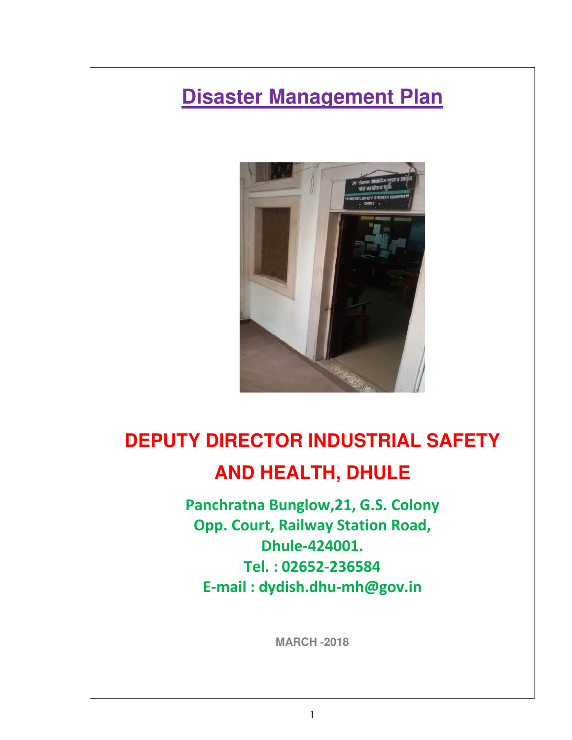# **Disaster Management Plan**



# **DEPUTY DIRECTOR INDUSTRIAL SAFETY AND HEALTH, DHULE**

Panchratna Bunglow,21, G.S. Colony Opp. Court, Railway Station Road, Dhule-424001. Tel. : 02652-236584 E-mail : dydish.dhu-mh@gov.in

**MARCH -2018**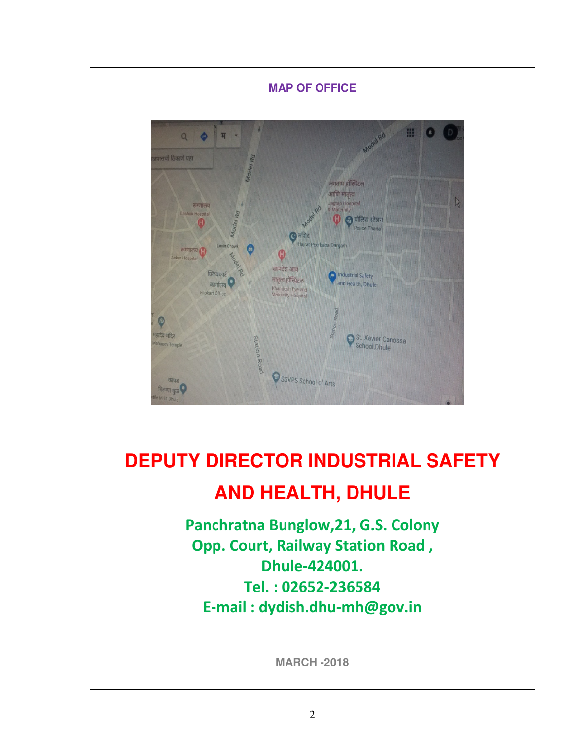

# **DEPUTY DIRECTOR INDUSTRIAL SAFETY AND HEALTH, DHULE**

Panchratna Bunglow,21, G.S. Colony Opp. Court, Railway Station Road , Dhule-424001. Tel. : 02652-236584 E-mail : dydish.dhu-mh@gov.in

**MARCH -2018**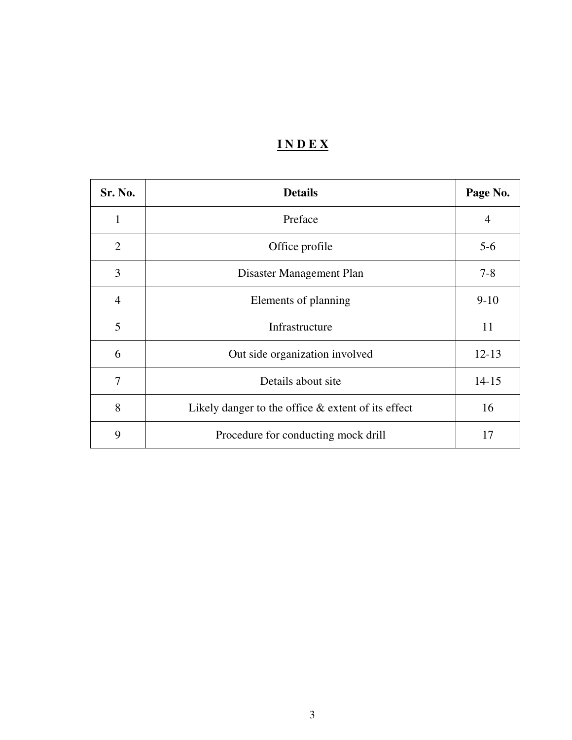# **I N D E X**

| Sr. No.        | <b>Details</b>                                        | Page No.       |
|----------------|-------------------------------------------------------|----------------|
| 1              | Preface                                               | $\overline{4}$ |
| $\overline{2}$ | Office profile                                        | $5 - 6$        |
| 3              | Disaster Management Plan                              | $7 - 8$        |
| $\overline{4}$ | Elements of planning                                  | $9 - 10$       |
| 5              | Infrastructure                                        | 11             |
| 6              | Out side organization involved                        | $12 - 13$      |
| 7              | Details about site                                    | $14 - 15$      |
| 8              | Likely danger to the office $\&$ extent of its effect | 16             |
| 9              | Procedure for conducting mock drill                   | 17             |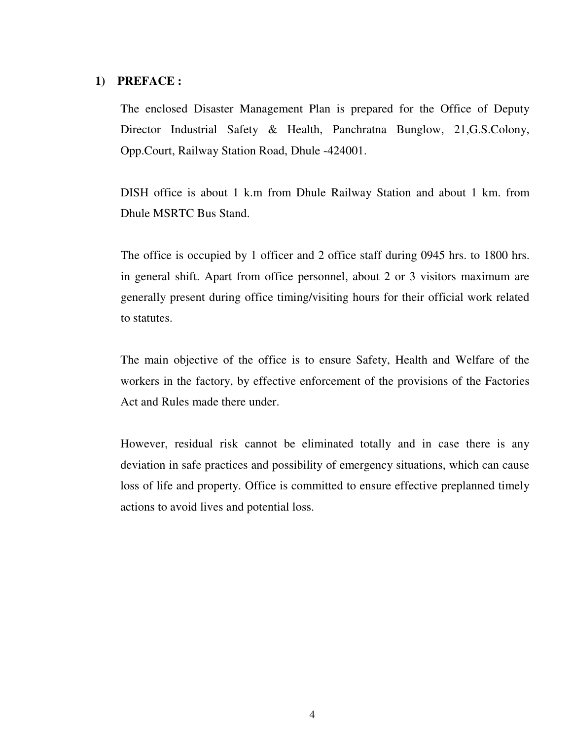#### **1) PREFACE :**

The enclosed Disaster Management Plan is prepared for the Office of Deputy Director Industrial Safety & Health, Panchratna Bunglow, 21,G.S.Colony, Opp.Court, Railway Station Road, Dhule -424001.

DISH office is about 1 k.m from Dhule Railway Station and about 1 km. from Dhule MSRTC Bus Stand.

The office is occupied by 1 officer and 2 office staff during 0945 hrs. to 1800 hrs. in general shift. Apart from office personnel, about 2 or 3 visitors maximum are generally present during office timing/visiting hours for their official work related to statutes.

The main objective of the office is to ensure Safety, Health and Welfare of the workers in the factory, by effective enforcement of the provisions of the Factories Act and Rules made there under.

However, residual risk cannot be eliminated totally and in case there is any deviation in safe practices and possibility of emergency situations, which can cause loss of life and property. Office is committed to ensure effective preplanned timely actions to avoid lives and potential loss.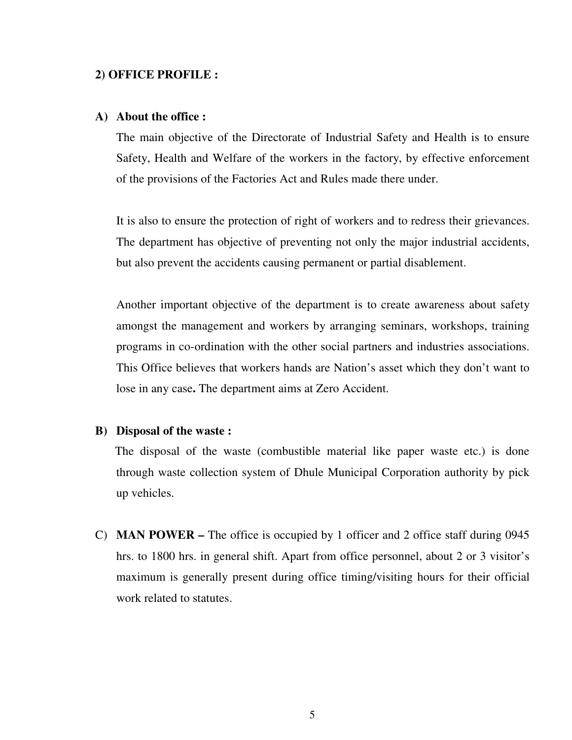#### **2) OFFICE PROFILE :**

#### **A) About the office :**

The main objective of the Directorate of Industrial Safety and Health is to ensure Safety, Health and Welfare of the workers in the factory, by effective enforcement of the provisions of the Factories Act and Rules made there under.

It is also to ensure the protection of right of workers and to redress their grievances. The department has objective of preventing not only the major industrial accidents, but also prevent the accidents causing permanent or partial disablement.

Another important objective of the department is to create awareness about safety amongst the management and workers by arranging seminars, workshops, training programs in co-ordination with the other social partners and industries associations. This Office believes that workers hands are Nation's asset which they don't want to lose in any case**.** The department aims at Zero Accident.

#### **B) Disposal of the waste :**

 The disposal of the waste (combustible material like paper waste etc.) is done through waste collection system of Dhule Municipal Corporation authority by pick up vehicles.

C) **MAN POWER –** The office is occupied by 1 officer and 2 office staff during 0945 hrs. to 1800 hrs. in general shift. Apart from office personnel, about 2 or 3 visitor's maximum is generally present during office timing/visiting hours for their official work related to statutes.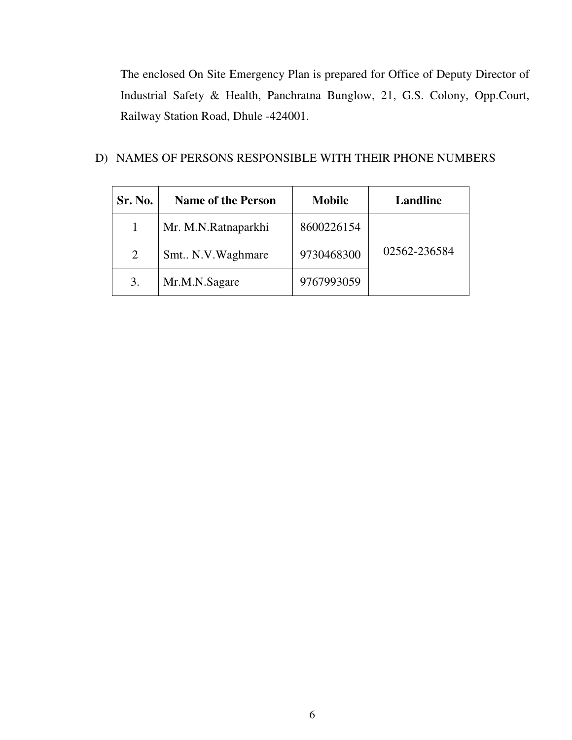The enclosed On Site Emergency Plan is prepared for Office of Deputy Director of Industrial Safety & Health, Panchratna Bunglow, 21, G.S. Colony, Opp.Court, Railway Station Road, Dhule -424001.

## D) NAMES OF PERSONS RESPONSIBLE WITH THEIR PHONE NUMBERS

| Sr. No. | <b>Name of the Person</b> | <b>Mobile</b> | Landline     |
|---------|---------------------------|---------------|--------------|
|         | Mr. M.N.Ratnaparkhi       | 8600226154    |              |
| 2       | Smt., N.V. Waghmare       | 9730468300    | 02562-236584 |
| 3.      | Mr.M.N.Sagare             | 9767993059    |              |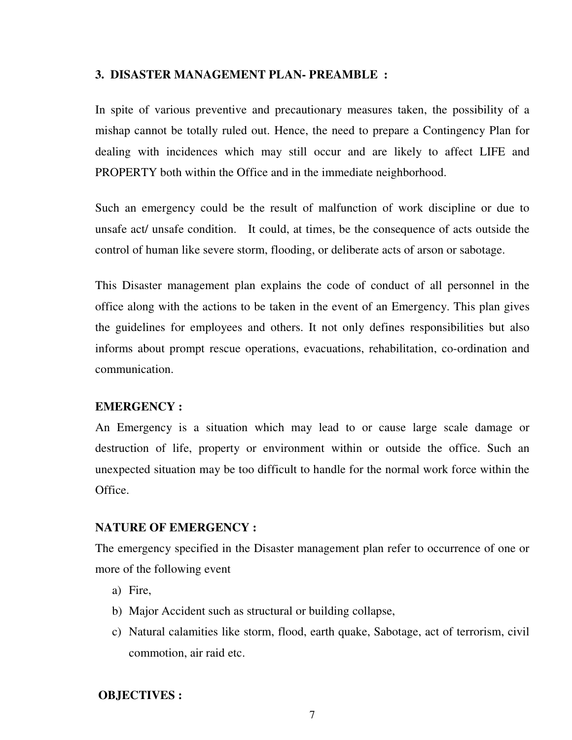#### **3. DISASTER MANAGEMENT PLAN- PREAMBLE :**

In spite of various preventive and precautionary measures taken, the possibility of a mishap cannot be totally ruled out. Hence, the need to prepare a Contingency Plan for dealing with incidences which may still occur and are likely to affect LIFE and PROPERTY both within the Office and in the immediate neighborhood.

Such an emergency could be the result of malfunction of work discipline or due to unsafe act/ unsafe condition. It could, at times, be the consequence of acts outside the control of human like severe storm, flooding, or deliberate acts of arson or sabotage.

This Disaster management plan explains the code of conduct of all personnel in the office along with the actions to be taken in the event of an Emergency. This plan gives the guidelines for employees and others. It not only defines responsibilities but also informs about prompt rescue operations, evacuations, rehabilitation, co-ordination and communication.

#### **EMERGENCY :**

An Emergency is a situation which may lead to or cause large scale damage or destruction of life, property or environment within or outside the office. Such an unexpected situation may be too difficult to handle for the normal work force within the Office.

#### **NATURE OF EMERGENCY :**

The emergency specified in the Disaster management plan refer to occurrence of one or more of the following event

- a) Fire,
- b) Major Accident such as structural or building collapse,
- c) Natural calamities like storm, flood, earth quake, Sabotage, act of terrorism, civil commotion, air raid etc.

#### **OBJECTIVES :**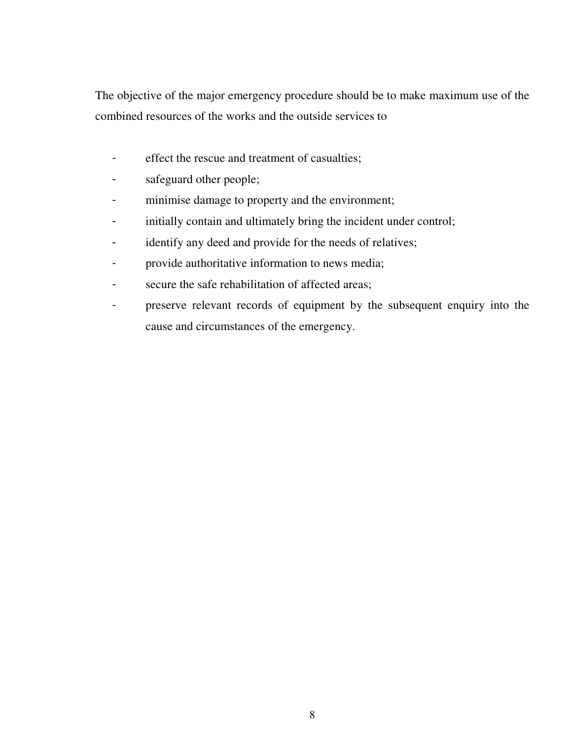The objective of the major emergency procedure should be to make maximum use of the combined resources of the works and the outside services to

- effect the rescue and treatment of casualties;
- safeguard other people;
- minimise damage to property and the environment;
- initially contain and ultimately bring the incident under control;
- identify any deed and provide for the needs of relatives;
- provide authoritative information to news media;
- secure the safe rehabilitation of affected areas;
- preserve relevant records of equipment by the subsequent enquiry into the cause and circumstances of the emergency.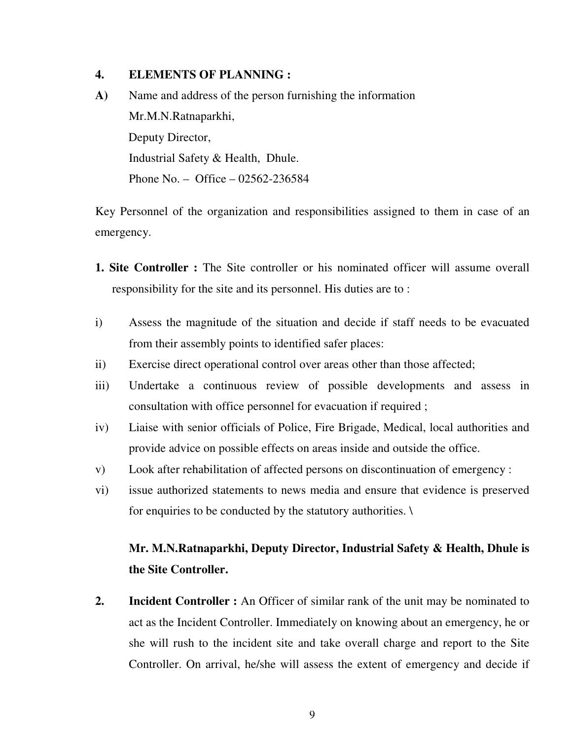#### **4. ELEMENTS OF PLANNING :**

**A)** Name and address of the person furnishing the information Mr.M.N.Ratnaparkhi, Deputy Director, Industrial Safety & Health, Dhule. Phone No. – Office – 02562-236584

Key Personnel of the organization and responsibilities assigned to them in case of an emergency.

- **1. Site Controller :** The Site controller or his nominated officer will assume overall responsibility for the site and its personnel. His duties are to :
- i) Assess the magnitude of the situation and decide if staff needs to be evacuated from their assembly points to identified safer places:
- ii) Exercise direct operational control over areas other than those affected;
- iii) Undertake a continuous review of possible developments and assess in consultation with office personnel for evacuation if required ;
- iv) Liaise with senior officials of Police, Fire Brigade, Medical, local authorities and provide advice on possible effects on areas inside and outside the office.
- v) Look after rehabilitation of affected persons on discontinuation of emergency :
- vi) issue authorized statements to news media and ensure that evidence is preserved for enquiries to be conducted by the statutory authorities. \

## **Mr. M.N.Ratnaparkhi, Deputy Director, Industrial Safety & Health, Dhule is the Site Controller.**

**2. Incident Controller :** An Officer of similar rank of the unit may be nominated to act as the Incident Controller. Immediately on knowing about an emergency, he or she will rush to the incident site and take overall charge and report to the Site Controller. On arrival, he/she will assess the extent of emergency and decide if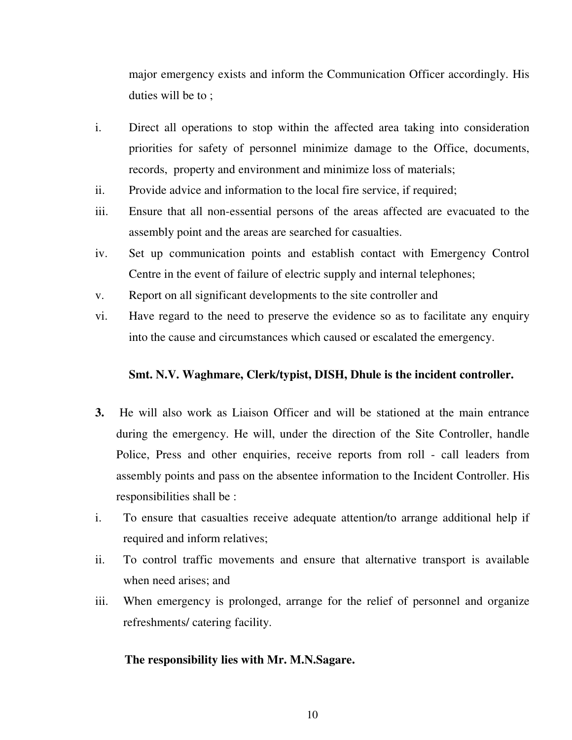major emergency exists and inform the Communication Officer accordingly. His duties will be to ;

- i. Direct all operations to stop within the affected area taking into consideration priorities for safety of personnel minimize damage to the Office, documents, records, property and environment and minimize loss of materials;
- ii. Provide advice and information to the local fire service, if required;
- iii. Ensure that all non-essential persons of the areas affected are evacuated to the assembly point and the areas are searched for casualties.
- iv. Set up communication points and establish contact with Emergency Control Centre in the event of failure of electric supply and internal telephones;
- v. Report on all significant developments to the site controller and
- vi. Have regard to the need to preserve the evidence so as to facilitate any enquiry into the cause and circumstances which caused or escalated the emergency.

#### **Smt. N.V. Waghmare, Clerk/typist, DISH, Dhule is the incident controller.**

- **3.** He will also work as Liaison Officer and will be stationed at the main entrance during the emergency. He will, under the direction of the Site Controller, handle Police, Press and other enquiries, receive reports from roll - call leaders from assembly points and pass on the absentee information to the Incident Controller. His responsibilities shall be :
- i. To ensure that casualties receive adequate attention/to arrange additional help if required and inform relatives;
- ii. To control traffic movements and ensure that alternative transport is available when need arises; and
- iii. When emergency is prolonged, arrange for the relief of personnel and organize refreshments/ catering facility.

#### **The responsibility lies with Mr. M.N.Sagare.**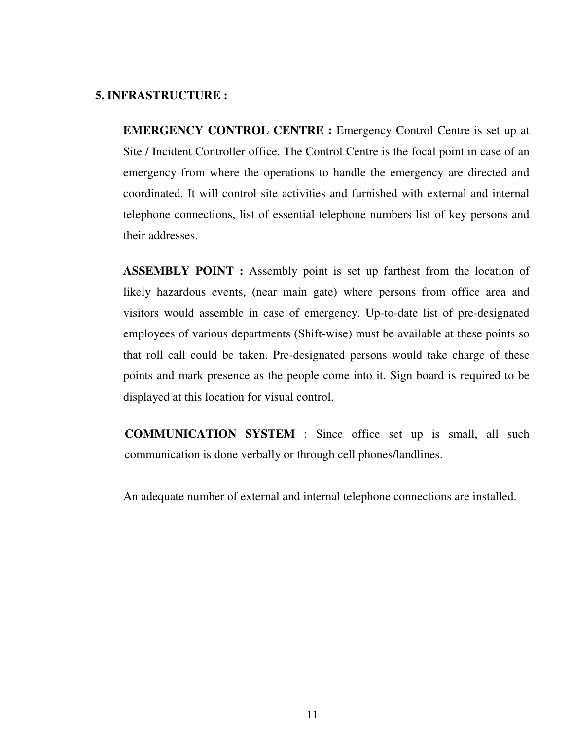#### **5. INFRASTRUCTURE :**

 **EMERGENCY CONTROL CENTRE :** Emergency Control Centre is set up at Site / Incident Controller office. The Control Centre is the focal point in case of an emergency from where the operations to handle the emergency are directed and coordinated. It will control site activities and furnished with external and internal telephone connections, list of essential telephone numbers list of key persons and their addresses.

 **ASSEMBLY POINT :** Assembly point is set up farthest from the location of likely hazardous events, (near main gate) where persons from office area and visitors would assemble in case of emergency. Up-to-date list of pre-designated employees of various departments (Shift-wise) must be available at these points so that roll call could be taken. Pre-designated persons would take charge of these points and mark presence as the people come into it. Sign board is required to be displayed at this location for visual control.

 **COMMUNICATION SYSTEM** : Since office set up is small, all such communication is done verbally or through cell phones/landlines.

An adequate number of external and internal telephone connections are installed.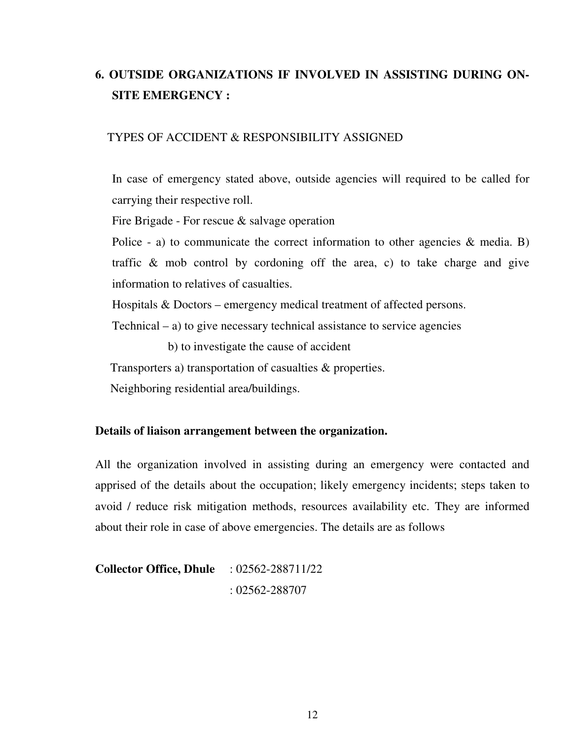# **6. OUTSIDE ORGANIZATIONS IF INVOLVED IN ASSISTING DURING ON-SITE EMERGENCY :**

#### TYPES OF ACCIDENT & RESPONSIBILITY ASSIGNED

In case of emergency stated above, outside agencies will required to be called for carrying their respective roll.

Fire Brigade - For rescue & salvage operation

Police - a) to communicate the correct information to other agencies  $\&$  media. B) traffic & mob control by cordoning off the area, c) to take charge and give information to relatives of casualties.

Hospitals & Doctors – emergency medical treatment of affected persons.

 $Technical – a)$  to give necessary technical assistance to service agencies

b) to investigate the cause of accident

Transporters a) transportation of casualties & properties.

Neighboring residential area/buildings.

#### **Details of liaison arrangement between the organization.**

All the organization involved in assisting during an emergency were contacted and apprised of the details about the occupation; likely emergency incidents; steps taken to avoid / reduce risk mitigation methods, resources availability etc. They are informed about their role in case of above emergencies. The details are as follows

**Collector Office, Dhule** : 02562-288711/22 : 02562-288707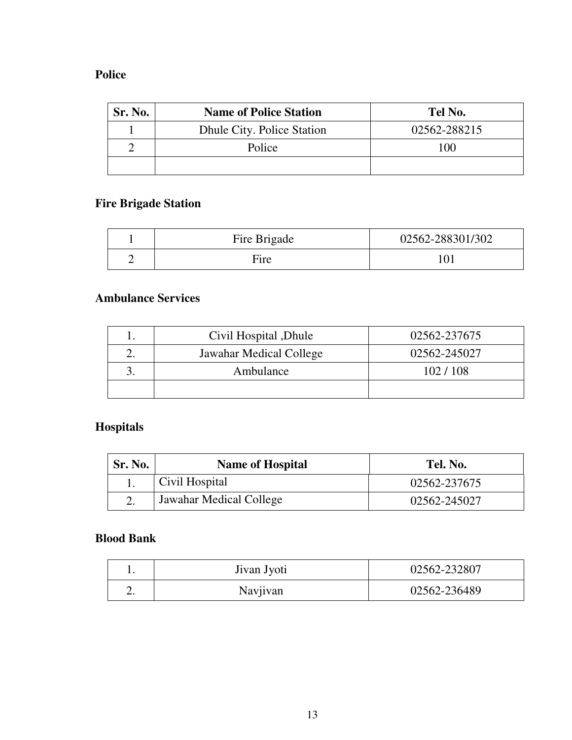## **Police**

| Sr. No. | <b>Name of Police Station</b> | Tel No.      |
|---------|-------------------------------|--------------|
|         | Dhule City. Police Station    | 02562-288215 |
|         | Police                        | 100          |
|         |                               |              |

## **Fire Brigade Station**

| Fire Brigade | 02562-288301/302 |
|--------------|------------------|
| Fire         |                  |

## **Ambulance Services**

| Civil Hospital, Dhule   | 02562-237675 |
|-------------------------|--------------|
| Jawahar Medical College | 02562-245027 |
| Ambulance               | 102/108      |
|                         |              |

# **Hospitals**

| <b>Sr. No.</b> | <b>Name of Hospital</b> | Tel. No.     |
|----------------|-------------------------|--------------|
|                | Civil Hospital          | 02562-237675 |
|                | Jawahar Medical College | 02562-245027 |

## **Blood Bank**

|    | Jivan Jyoti | 02562-232807 |
|----|-------------|--------------|
| ـ. | Navjivan    | 02562-236489 |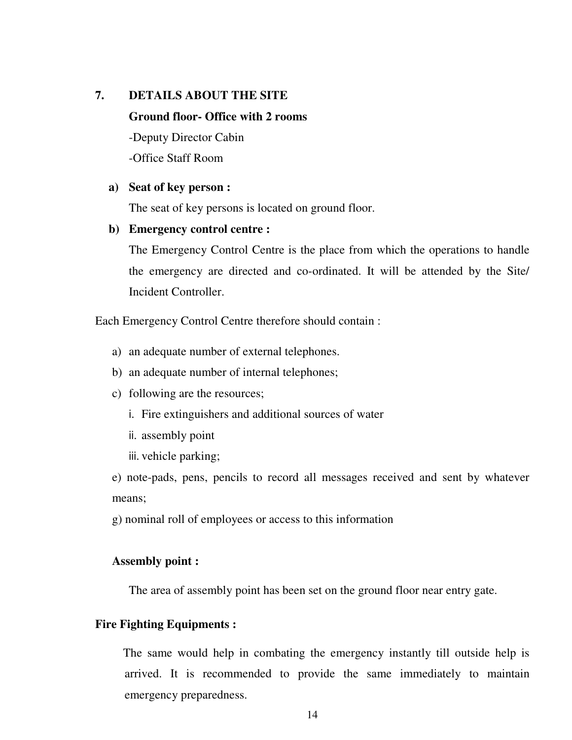# **7. DETAILS ABOUT THE SITE Ground floor- Office with 2 rooms**  -Deputy Director Cabin -Office Staff Room

#### **a) Seat of key person :**

The seat of key persons is located on ground floor.

#### **b) Emergency control centre :**

The Emergency Control Centre is the place from which the operations to handle the emergency are directed and co-ordinated. It will be attended by the Site/ Incident Controller.

Each Emergency Control Centre therefore should contain :

- a) an adequate number of external telephones.
- b) an adequate number of internal telephones;
- c) following are the resources;
	- i. Fire extinguishers and additional sources of water
	- ii. assembly point
	- iii. vehicle parking;

e) note-pads, pens, pencils to record all messages received and sent by whatever means;

g) nominal roll of employees or access to this information

#### **Assembly point :**

The area of assembly point has been set on the ground floor near entry gate.

#### **Fire Fighting Equipments :**

The same would help in combating the emergency instantly till outside help is arrived. It is recommended to provide the same immediately to maintain emergency preparedness.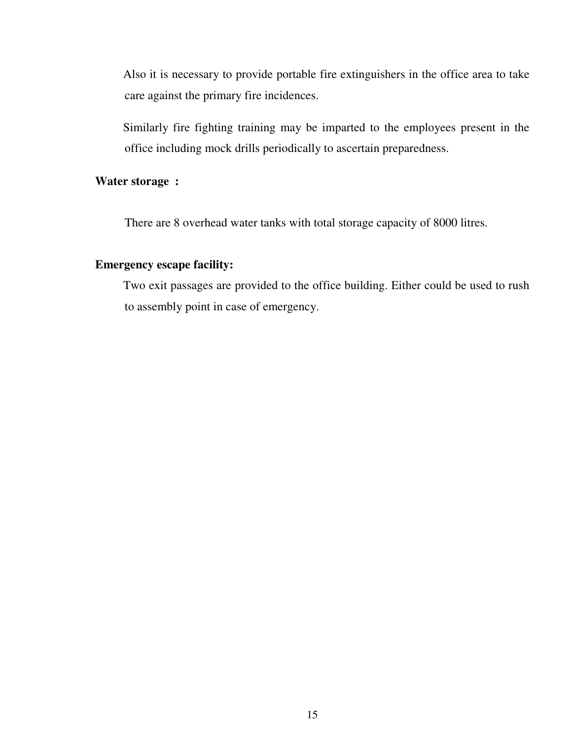Also it is necessary to provide portable fire extinguishers in the office area to take care against the primary fire incidences.

Similarly fire fighting training may be imparted to the employees present in the office including mock drills periodically to ascertain preparedness.

### **Water storage :**

There are 8 overhead water tanks with total storage capacity of 8000 litres.

### **Emergency escape facility:**

Two exit passages are provided to the office building. Either could be used to rush to assembly point in case of emergency.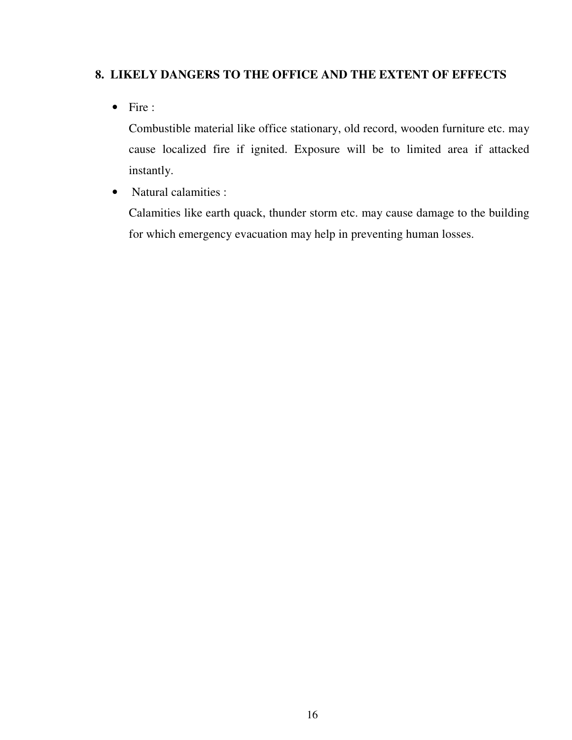## **8. LIKELY DANGERS TO THE OFFICE AND THE EXTENT OF EFFECTS**

• Fire :

Combustible material like office stationary, old record, wooden furniture etc. may cause localized fire if ignited. Exposure will be to limited area if attacked instantly.

• Natural calamities :

 Calamities like earth quack, thunder storm etc. may cause damage to the building for which emergency evacuation may help in preventing human losses.